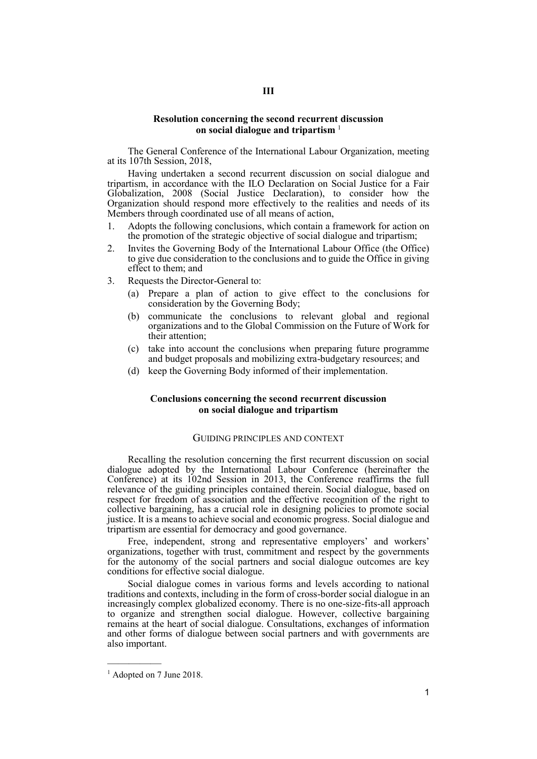### **Resolution concerning the second recurrent discussion on social dialogue and tripartism** <sup>1</sup>

The General Conference of the International Labour Organization, meeting at its 107th Session, 2018,

Having undertaken a second recurrent discussion on social dialogue and tripartism, in accordance with the ILO Declaration on Social Justice for a Fair Globalization, 2008 (Social Justice Declaration), to consider how the Organization should respond more effectively to the realities and needs of its Members through coordinated use of all means of action,

- 1. Adopts the following conclusions, which contain a framework for action on the promotion of the strategic objective of social dialogue and tripartism;
- 2. Invites the Governing Body of the International Labour Office (the Office) to give due consideration to the conclusions and to guide the Office in giving effect to them; and
- 3. Requests the Director-General to:
	- (a) Prepare a plan of action to give effect to the conclusions for consideration by the Governing Body;
	- (b) communicate the conclusions to relevant global and regional organizations and to the Global Commission on the Future of Work for their attention;
	- (c) take into account the conclusions when preparing future programme and budget proposals and mobilizing extra-budgetary resources; and
	- (d) keep the Governing Body informed of their implementation.

# **Conclusions concerning the second recurrent discussion on social dialogue and tripartism**

## GUIDING PRINCIPLES AND CONTEXT

Recalling the resolution concerning the first recurrent discussion on social dialogue adopted by the International Labour Conference (hereinafter the Conference) at its 102nd Session in 2013, the Conference reaffirms the full relevance of the guiding principles contained therein. Social dialogue, based on respect for freedom of association and the effective recognition of the right to collective bargaining, has a crucial role in designing policies to promote social justice. It is a means to achieve social and economic progress. Social dialogue and tripartism are essential for democracy and good governance.

Free, independent, strong and representative employers' and workers' organizations, together with trust, commitment and respect by the governments for the autonomy of the social partners and social dialogue outcomes are key conditions for effective social dialogue.

Social dialogue comes in various forms and levels according to national traditions and contexts, including in the form of cross-border social dialogue in an increasingly complex globalized economy. There is no one-size-fits-all approach to organize and strengthen social dialogue. However, collective bargaining remains at the heart of social dialogue. Consultations, exchanges of information and other forms of dialogue between social partners and with governments are also important.

—————

<sup>&</sup>lt;sup>1</sup> Adopted on 7 June 2018.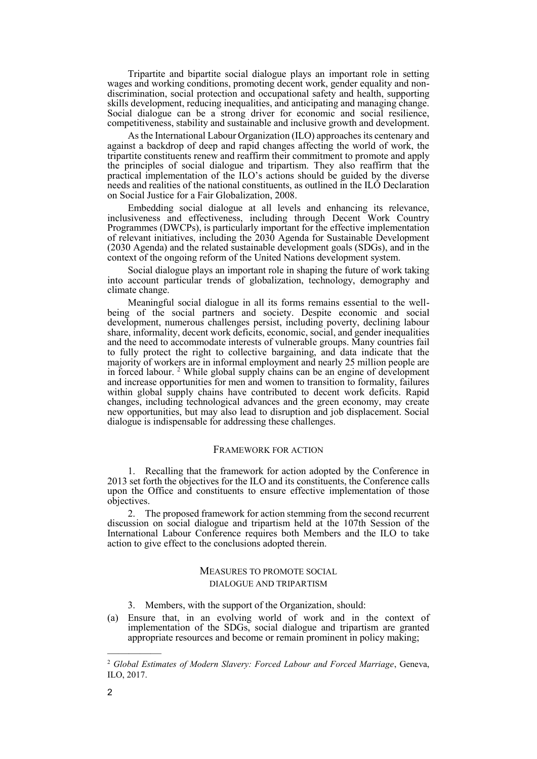Tripartite and bipartite social dialogue plays an important role in setting wages and working conditions, promoting decent work, gender equality and nondiscrimination, social protection and occupational safety and health, supporting skills development, reducing inequalities, and anticipating and managing change. Social dialogue can be a strong driver for economic and social resilience, competitiveness, stability and sustainable and inclusive growth and development.

As the International Labour Organization (ILO) approaches its centenary and against a backdrop of deep and rapid changes affecting the world of work, the tripartite constituents renew and reaffirm their commitment to promote and apply the principles of social dialogue and tripartism. They also reaffirm that the practical implementation of the ILO's actions should be guided by the diverse needs and realities of the national constituents, as outlined in the ILO Declaration on Social Justice for a Fair Globalization, 2008.

Embedding social dialogue at all levels and enhancing its relevance, inclusiveness and effectiveness, including through Decent Work Country Programmes (DWCPs), is particularly important for the effective implementation of relevant initiatives, including the 2030 Agenda for Sustainable Development (2030 Agenda) and the related sustainable development goals (SDGs), and in the context of the ongoing reform of the United Nations development system.

Social dialogue plays an important role in shaping the future of work taking into account particular trends of globalization, technology, demography and climate change.

Meaningful social dialogue in all its forms remains essential to the wellbeing of the social partners and society. Despite economic and social development, numerous challenges persist, including poverty, declining labour share, informality, decent work deficits, economic, social, and gender inequalities and the need to accommodate interests of vulnerable groups. Many countries fail to fully protect the right to collective bargaining, and data indicate that the majority of workers are in informal employment and nearly 25 million people are in forced labour. <sup>2</sup> While global supply chains can be an engine of development and increase opportunities for men and women to transition to formality, failures within global supply chains have contributed to decent work deficits. Rapid changes, including technological advances and the green economy, may create new opportunities, but may also lead to disruption and job displacement. Social dialogue is indispensable for addressing these challenges.

#### FRAMEWORK FOR ACTION

1. Recalling that the framework for action adopted by the Conference in 2013 set forth the objectives for the ILO and its constituents, the Conference calls upon the Office and constituents to ensure effective implementation of those objectives.

2. The proposed framework for action stemming from the second recurrent discussion on social dialogue and tripartism held at the 107th Session of the International Labour Conference requires both Members and the ILO to take action to give effect to the conclusions adopted therein.

# MEASURES TO PROMOTE SOCIAL DIALOGUE AND TRIPARTISM

- 3. Members, with the support of the Organization, should:
- (a) Ensure that, in an evolving world of work and in the context of implementation of the SDGs, social dialogue and tripartism are granted appropriate resources and become or remain prominent in policy making;

—————

<sup>2</sup> *Global Estimates of Modern Slavery: Forced Labour and Forced Marriage*, Geneva, ILO, 2017.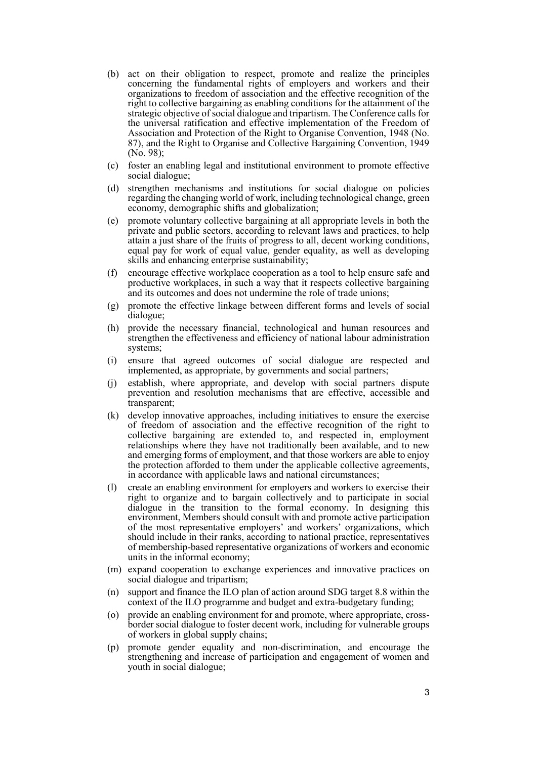- (b) act on their obligation to respect, promote and realize the principles concerning the fundamental rights of employers and workers and their organizations to freedom of association and the effective recognition of the right to collective bargaining as enabling conditions for the attainment of the strategic objective of social dialogue and tripartism. The Conference calls for the universal ratification and effective implementation of the Freedom of Association and Protection of the Right to Organise Convention, 1948 (No. 87), and the Right to Organise and Collective Bargaining Convention, 1949 (No. 98);
- (c) foster an enabling legal and institutional environment to promote effective social dialogue;
- (d) strengthen mechanisms and institutions for social dialogue on policies regarding the changing world of work, including technological change, green economy, demographic shifts and globalization;
- (e) promote voluntary collective bargaining at all appropriate levels in both the private and public sectors, according to relevant laws and practices, to help attain a just share of the fruits of progress to all, decent working conditions, equal pay for work of equal value, gender equality, as well as developing skills and enhancing enterprise sustainability;
- (f) encourage effective workplace cooperation as a tool to help ensure safe and productive workplaces, in such a way that it respects collective bargaining and its outcomes and does not undermine the role of trade unions;
- (g) promote the effective linkage between different forms and levels of social dialogue;
- (h) provide the necessary financial, technological and human resources and strengthen the effectiveness and efficiency of national labour administration systems;
- (i) ensure that agreed outcomes of social dialogue are respected and implemented, as appropriate, by governments and social partners;
- (j) establish, where appropriate, and develop with social partners dispute prevention and resolution mechanisms that are effective, accessible and transparent;
- (k) develop innovative approaches, including initiatives to ensure the exercise of freedom of association and the effective recognition of the right to collective bargaining are extended to, and respected in, employment relationships where they have not traditionally been available, and to new and emerging forms of employment, and that those workers are able to enjoy the protection afforded to them under the applicable collective agreements, in accordance with applicable laws and national circumstances;
- (l) create an enabling environment for employers and workers to exercise their right to organize and to bargain collectively and to participate in social dialogue in the transition to the formal economy. In designing this environment, Members should consult with and promote active participation of the most representative employers' and workers' organizations, which should include in their ranks, according to national practice, representatives of membership-based representative organizations of workers and economic units in the informal economy;
- (m) expand cooperation to exchange experiences and innovative practices on social dialogue and tripartism;
- (n) support and finance the ILO plan of action around SDG target 8.8 within the context of the ILO programme and budget and extra-budgetary funding;
- (o) provide an enabling environment for and promote, where appropriate, crossborder social dialogue to foster decent work, including for vulnerable groups of workers in global supply chains;
- (p) promote gender equality and non-discrimination, and encourage the strengthening and increase of participation and engagement of women and youth in social dialogue;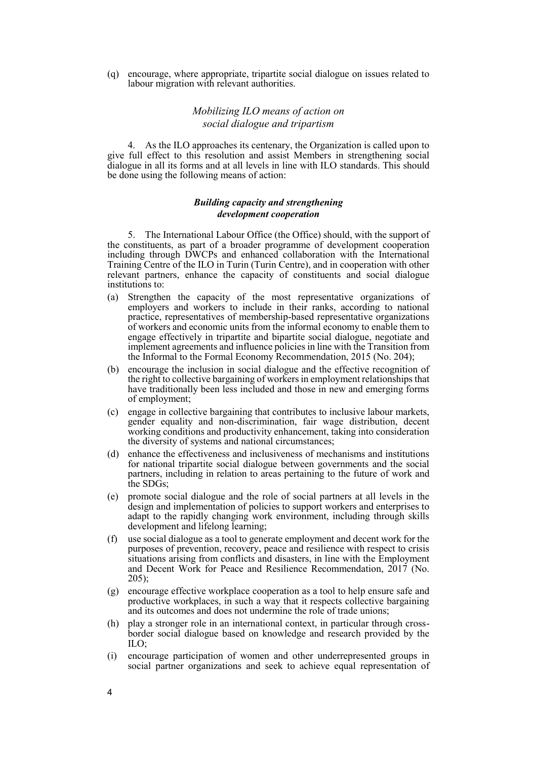(q) encourage, where appropriate, tripartite social dialogue on issues related to labour migration with relevant authorities.

# *Mobilizing ILO means of action on social dialogue and tripartism*

4. As the ILO approaches its centenary, the Organization is called upon to give full effect to this resolution and assist Members in strengthening social dialogue in all its forms and at all levels in line with ILO standards. This should be done using the following means of action:

## *Building capacity and strengthening development cooperation*

5. The International Labour Office (the Office) should, with the support of the constituents, as part of a broader programme of development cooperation including through DWCPs and enhanced collaboration with the International Training Centre of the ILO in Turin (Turin Centre), and in cooperation with other relevant partners, enhance the capacity of constituents and social dialogue institutions to:

- (a) Strengthen the capacity of the most representative organizations of employers and workers to include in their ranks, according to national practice, representatives of membership-based representative organizations of workers and economic units from the informal economy to enable them to engage effectively in tripartite and bipartite social dialogue, negotiate and implement agreements and influence policies in line with the Transition from the Informal to the Formal Economy Recommendation, 2015 (No. 204);
- (b) encourage the inclusion in social dialogue and the effective recognition of the right to collective bargaining of workers in employment relationships that have traditionally been less included and those in new and emerging forms of employment;
- (c) engage in collective bargaining that contributes to inclusive labour markets, gender equality and non-discrimination, fair wage distribution, decent working conditions and productivity enhancement, taking into consideration the diversity of systems and national circumstances;
- (d) enhance the effectiveness and inclusiveness of mechanisms and institutions for national tripartite social dialogue between governments and the social partners, including in relation to areas pertaining to the future of work and the SDGs;
- (e) promote social dialogue and the role of social partners at all levels in the design and implementation of policies to support workers and enterprises to adapt to the rapidly changing work environment, including through skills development and lifelong learning;
- (f) use social dialogue as a tool to generate employment and decent work for the purposes of prevention, recovery, peace and resilience with respect to crisis situations arising from conflicts and disasters, in line with the Employment and Decent Work for Peace and Resilience Recommendation, 2017 (No.  $205$ :
- (g) encourage effective workplace cooperation as a tool to help ensure safe and productive workplaces, in such a way that it respects collective bargaining and its outcomes and does not undermine the role of trade unions;
- (h) play a stronger role in an international context, in particular through crossborder social dialogue based on knowledge and research provided by the ILO;
- (i) encourage participation of women and other underrepresented groups in social partner organizations and seek to achieve equal representation of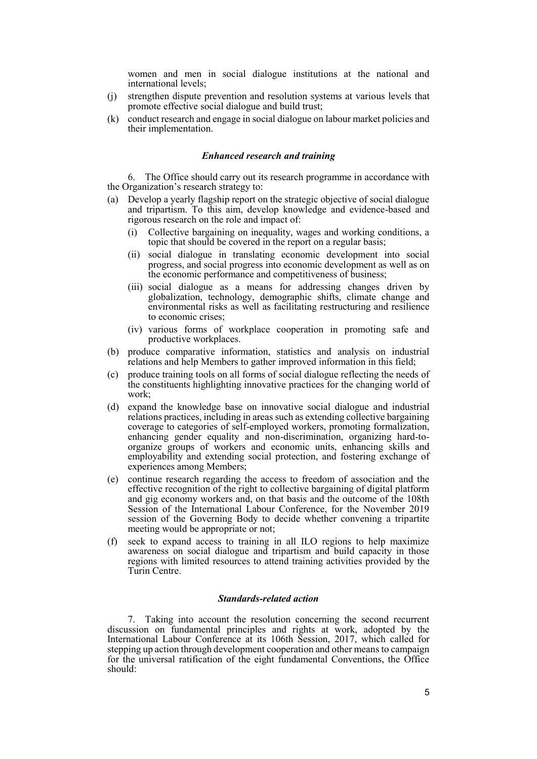women and men in social dialogue institutions at the national and international levels;

- (j) strengthen dispute prevention and resolution systems at various levels that promote effective social dialogue and build trust;
- (k) conduct research and engage in social dialogue on labour market policies and their implementation.

# *Enhanced research and training*

6. The Office should carry out its research programme in accordance with the Organization's research strategy to:

- (a) Develop a yearly flagship report on the strategic objective of social dialogue and tripartism. To this aim, develop knowledge and evidence-based and rigorous research on the role and impact of:
	- (i) Collective bargaining on inequality, wages and working conditions, a topic that should be covered in the report on a regular basis;
	- (ii) social dialogue in translating economic development into social progress, and social progress into economic development as well as on the economic performance and competitiveness of business;
	- (iii) social dialogue as a means for addressing changes driven by globalization, technology, demographic shifts, climate change and environmental risks as well as facilitating restructuring and resilience to economic crises;
	- (iv) various forms of workplace cooperation in promoting safe and productive workplaces.
- (b) produce comparative information, statistics and analysis on industrial relations and help Members to gather improved information in this field;
- (c) produce training tools on all forms of social dialogue reflecting the needs of the constituents highlighting innovative practices for the changing world of work;
- (d) expand the knowledge base on innovative social dialogue and industrial relations practices, including in areas such as extending collective bargaining coverage to categories of self-employed workers, promoting formalization, enhancing gender equality and non-discrimination, organizing hard-toorganize groups of workers and economic units, enhancing skills and employability and extending social protection, and fostering exchange of experiences among Members;
- (e) continue research regarding the access to freedom of association and the effective recognition of the right to collective bargaining of digital platform and gig economy workers and, on that basis and the outcome of the 108th Session of the International Labour Conference, for the November 2019 session of the Governing Body to decide whether convening a tripartite meeting would be appropriate or not;
- (f) seek to expand access to training in all ILO regions to help maximize awareness on social dialogue and tripartism and build capacity in those regions with limited resources to attend training activities provided by the Turin Centre.

# *Standards-related action*

7. Taking into account the resolution concerning the second recurrent discussion on fundamental principles and rights at work, adopted by the International Labour Conference at its 106th Session, 2017, which called for stepping up action through development cooperation and other means to campaign for the universal ratification of the eight fundamental Conventions, the Office should: